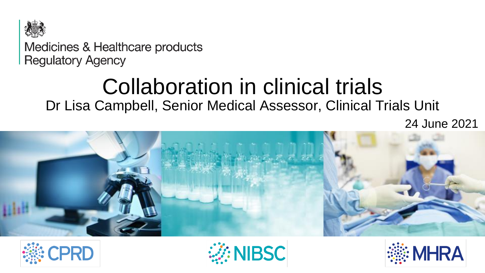

Medicines & Healthcare products **Regulatory Agency** 

# Collaboration in clinical trials

Dr Lisa Campbell, Senior Medical Assessor, Clinical Trials Unit

24 June 2021







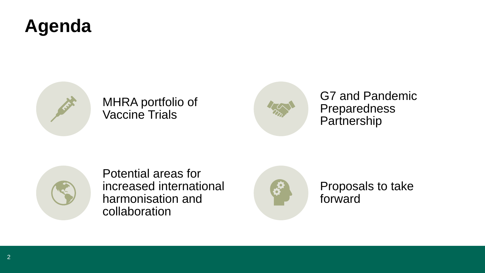#### **Agenda**



#### MHRA portfolio of Vaccine Trials



G7 and Pandemic Preparedness **Partnership** 



Potential areas for increased international harmonisation and collaboration



Proposals to take forward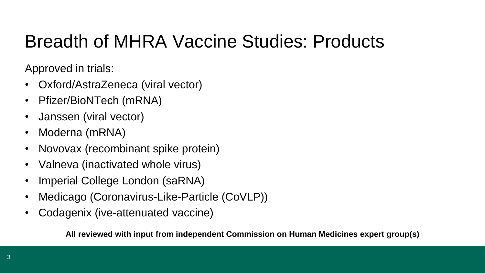### Breadth of MHRA Vaccine Studies: Products

Approved in trials:

- Oxford/AstraZeneca (viral vector)
- Pfizer/BioNTech (mRNA)
- Janssen (viral vector)
- Moderna (mRNA)
- Novovax (recombinant spike protein)
- Valneva (inactivated whole virus)
- Imperial College London (saRNA)
- Medicago (Coronavirus-Like-Particle (CoVLP))
- Codagenix (ive-attenuated vaccine)

**All reviewed with input from independent Commission on Human Medicines expert group(s)**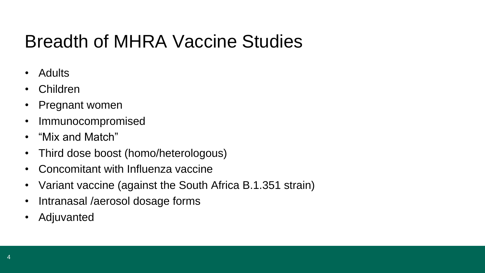### Breadth of MHRA Vaccine Studies

- Adults
- Children
- Pregnant women
- Immunocompromised
- "Mix and Match"
- Third dose boost (homo/heterologous)
- Concomitant with Influenza vaccine
- Variant vaccine (against the South Africa B.1.351 strain)
- Intranasal /aerosol dosage forms
- **Adjuvanted**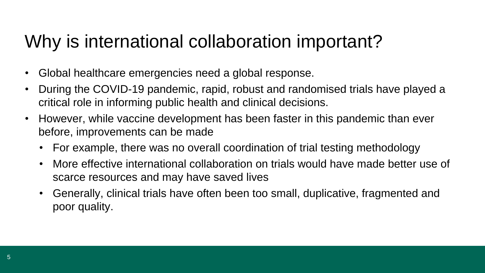#### Why is international collaboration important?

- Global healthcare emergencies need a global response.
- During the COVID-19 pandemic, rapid, robust and randomised trials have played a critical role in informing public health and clinical decisions.
- However, while vaccine development has been faster in this pandemic than ever before, improvements can be made
	- For example, there was no overall coordination of trial testing methodology
	- More effective international collaboration on trials would have made better use of scarce resources and may have saved lives
	- Generally, clinical trials have often been too small, duplicative, fragmented and poor quality.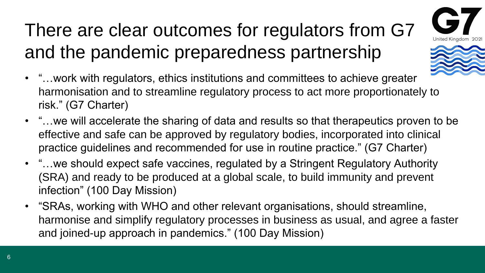## There are clear outcomes for regulators from G7 and the pandemic preparedness partnership





- "…work with regulators, ethics institutions and committees to achieve greater harmonisation and to streamline regulatory process to act more proportionately to risk." (G7 Charter)
- "…we will accelerate the sharing of data and results so that therapeutics proven to be effective and safe can be approved by regulatory bodies, incorporated into clinical practice guidelines and recommended for use in routine practice." (G7 Charter)
- "…we should expect safe vaccines, regulated by a Stringent Regulatory Authority (SRA) and ready to be produced at a global scale, to build immunity and prevent infection" (100 Day Mission)
- "SRAs, working with WHO and other relevant organisations, should streamline, harmonise and simplify regulatory processes in business as usual, and agree a faster and joined-up approach in pandemics." (100 Day Mission)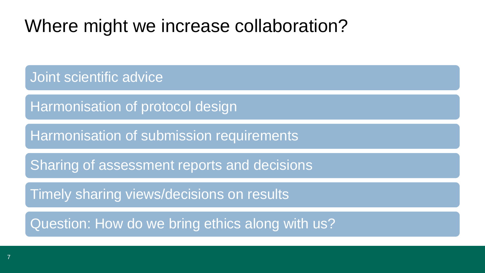#### Where might we increase collaboration?

Joint scientific advice

Harmonisation of protocol design

Harmonisation of submission requirements

Sharing of assessment reports and decisions

Timely sharing views/decisions on results

Question: How do we bring ethics along with us?